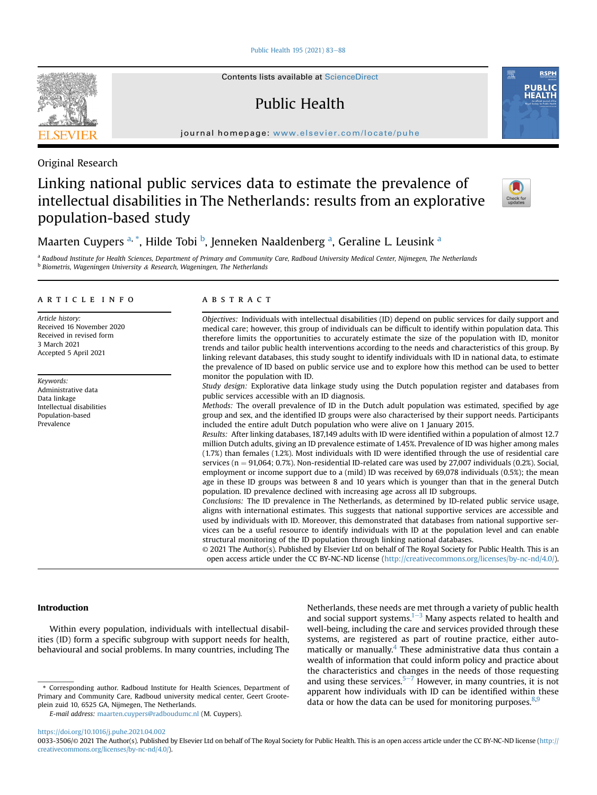[Public Health 195 \(2021\) 83](https://doi.org/10.1016/j.puhe.2021.04.002)-[88](https://doi.org/10.1016/j.puhe.2021.04.002)

Contents lists available at ScienceDirect

# Public Health

journal homepage: [www.elsevier.com/locate/puhe](http://www.elsevier.com/locate/puhe)

Original Research

# Linking national public services data to estimate the prevalence of intellectual disabilities in The Netherlands: results from an explorative population-based study



**RSPH** 

**PUBLIC** 

# M[a](#page-0-0)arten Cuypers <sup>a, [\\*](#page-0-1)</sup>, Hilde To[b](#page-0-2)i <sup>b</sup>, Jenneken Naaldenberg <sup>a</sup>, Geraline L. Leusink <sup>a</sup>

<span id="page-0-2"></span><span id="page-0-0"></span><sup>a</sup> Radboud Institute for Health Sciences, Department of Primary and Community Care, Radboud University Medical Center, Nijmegen, The Netherlands **b Biometris, Wageningen University & Research, Wageningen, The Netherlands** 

## article info

Article history: Received 16 November 2020 Received in revised form 3 March 2021 Accepted 5 April 2021

Keywords: Administrative data Data linkage Intellectual disabilities Population-based Prevalence

# ABSTRACT

Objectives: Individuals with intellectual disabilities (ID) depend on public services for daily support and medical care; however, this group of individuals can be difficult to identify within population data. This therefore limits the opportunities to accurately estimate the size of the population with ID, monitor trends and tailor public health interventions according to the needs and characteristics of this group. By linking relevant databases, this study sought to identify individuals with ID in national data, to estimate the prevalence of ID based on public service use and to explore how this method can be used to better monitor the population with ID.

Study design: Explorative data linkage study using the Dutch population register and databases from public services accessible with an ID diagnosis.

Methods: The overall prevalence of ID in the Dutch adult population was estimated, specified by age group and sex, and the identified ID groups were also characterised by their support needs. Participants included the entire adult Dutch population who were alive on 1 January 2015.

Results: After linking databases, 187,149 adults with ID were identified within a population of almost 12.7 million Dutch adults, giving an ID prevalence estimate of 1.45%. Prevalence of ID was higher among males (1.7%) than females (1.2%). Most individuals with ID were identified through the use of residential care services ( $n = 91,064$ ; 0.7%). Non-residential ID-related care was used by 27,007 individuals (0.2%). Social, employment or income support due to a (mild) ID was received by 69,078 individuals (0.5%); the mean age in these ID groups was between 8 and 10 years which is younger than that in the general Dutch population. ID prevalence declined with increasing age across all ID subgroups.

Conclusions: The ID prevalence in The Netherlands, as determined by ID-related public service usage, aligns with international estimates. This suggests that national supportive services are accessible and used by individuals with ID. Moreover, this demonstrated that databases from national supportive services can be a useful resource to identify individuals with ID at the population level and can enable structural monitoring of the ID population through linking national databases.

© 2021 The Author(s). Published by Elsevier Ltd on behalf of The Royal Society for Public Health. This is an open access article under the CC BY-NC-ND license (<http://creativecommons.org/licenses/by-nc-nd/4.0/>).

#### Introduction

Within every population, individuals with intellectual disabilities (ID) form a specific subgroup with support needs for health, behavioural and social problems. In many countries, including The

<span id="page-0-1"></span>\* Corresponding author. Radboud Institute for Health Sciences, Department of Primary and Community Care, Radboud university medical center, Geert Grooteplein zuid 10, 6525 GA, Nijmegen, The Netherlands.

E-mail address: [maarten.cuypers@radboudumc.nl](mailto:maarten.cuypers@radboudumc.nl) (M. Cuypers).

Netherlands, these needs are met through a variety of public health and social support systems. $1-3$  $1-3$  $1-3$  Many aspects related to health and well-being, including the care and services provided through these systems, are registered as part of routine practice, either automatically or manually. $4$  These administrative data thus contain a wealth of information that could inform policy and practice about the characteristics and changes in the needs of those requesting and using these services.<sup>[5](#page-5-2)–[7](#page-5-2)</sup> However, in many countries, it is not apparent how individuals with ID can be identified within these data or how the data can be used for monitoring purposes.  $8,9$  $8,9$ 

<https://doi.org/10.1016/j.puhe.2021.04.002>



<sup>0033-3506/© 2021</sup> The Author(s). Published by Elsevier Ltd on behalf of The Royal Society for Public Health. This is an open access article under the CC BY-NC-ND license ([http://](http://creativecommons.org/licenses/by-nc-nd/4.0/) [creativecommons.org/licenses/by-nc-nd/4.0/](http://creativecommons.org/licenses/by-nc-nd/4.0/)).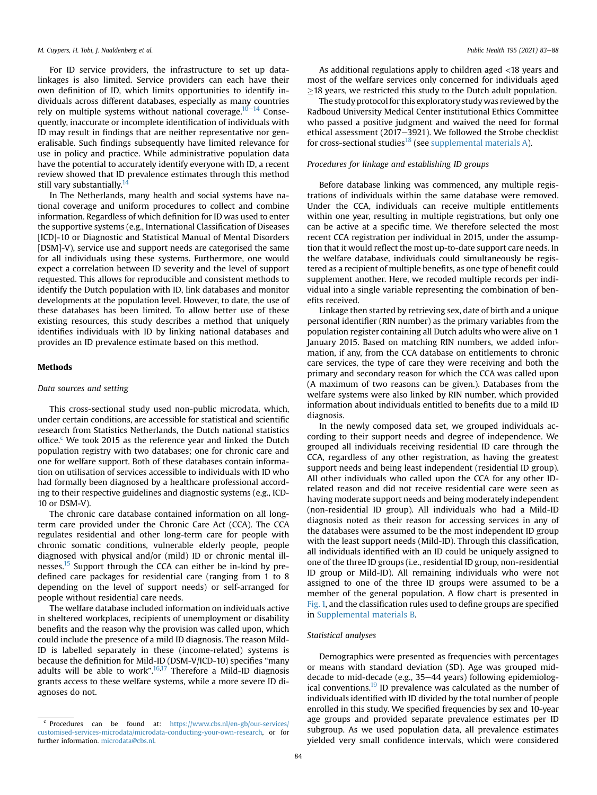#### M. Cuypers, H. Tobi, J. Naaldenberg et al. 2002) 83-88

For ID service providers, the infrastructure to set up datalinkages is also limited. Service providers can each have their own definition of ID, which limits opportunities to identify individuals across different databases, especially as many countries rely on multiple systems without national coverage.<sup>[10](#page-5-5)-[14](#page-5-5)</sup> Consequently, inaccurate or incomplete identification of individuals with ID may result in findings that are neither representative nor generalisable. Such findings subsequently have limited relevance for use in policy and practice. While administrative population data have the potential to accurately identify everyone with ID, a recent review showed that ID prevalence estimates through this method still vary substantially.<sup>14</sup>

In The Netherlands, many health and social systems have national coverage and uniform procedures to collect and combine information. Regardless of which definition for ID was used to enter the supportive systems (e.g., International Classification of Diseases [ICD]-10 or Diagnostic and Statistical Manual of Mental Disorders [DSM]-V), service use and support needs are categorised the same for all individuals using these systems. Furthermore, one would expect a correlation between ID severity and the level of support requested. This allows for reproducible and consistent methods to identify the Dutch population with ID, link databases and monitor developments at the population level. However, to date, the use of these databases has been limited. To allow better use of these existing resources, this study describes a method that uniquely identifies individuals with ID by linking national databases and provides an ID prevalence estimate based on this method.

#### Methods

## Data sources and setting

This cross-sectional study used non-public microdata, which, under certain conditions, are accessible for statistical and scientific research from Statistics Netherlands, the Dutch national statistics offi[c](#page-1-0)e. $c$  We took 2015 as the reference year and linked the Dutch population registry with two databases; one for chronic care and one for welfare support. Both of these databases contain information on utilisation of services accessible to individuals with ID who had formally been diagnosed by a healthcare professional according to their respective guidelines and diagnostic systems (e.g., ICD-10 or DSM-V).

The chronic care database contained information on all longterm care provided under the Chronic Care Act (CCA). The CCA regulates residential and other long-term care for people with chronic somatic conditions, vulnerable elderly people, people diagnosed with physical and/or (mild) ID or chronic mental ill-nesses.<sup>[15](#page-5-7)</sup> Support through the CCA can either be in-kind by predefined care packages for residential care (ranging from 1 to 8 depending on the level of support needs) or self-arranged for people without residential care needs.

The welfare database included information on individuals active in sheltered workplaces, recipients of unemployment or disability benefits and the reason why the provision was called upon, which could include the presence of a mild ID diagnosis. The reason Mild-ID is labelled separately in these (income-related) systems is because the definition for Mild-ID (DSM-V/ICD-10) specifies "many adults will be able to work".<sup>[16](#page-5-8),[17](#page-5-9)</sup> Therefore a Mild-ID diagnosis grants access to these welfare systems, while a more severe ID diagnoses do not.

As additional regulations apply to children aged <18 years and most of the welfare services only concerned for individuals aged  $\geq$  18 years, we restricted this study to the Dutch adult population.

The study protocol for this exploratory study was reviewed by the Radboud University Medical Center institutional Ethics Committee who passed a positive judgment and waived the need for formal ethical assessment (2017-3921). We followed the Strobe checklist for cross-sectional studies<sup>[18](#page-5-10)</sup> (see supplemental materials A).

## Procedures for linkage and establishing ID groups

Before database linking was commenced, any multiple registrations of individuals within the same database were removed. Under the CCA, individuals can receive multiple entitlements within one year, resulting in multiple registrations, but only one can be active at a specific time. We therefore selected the most recent CCA registration per individual in 2015, under the assumption that it would reflect the most up-to-date support care needs. In the welfare database, individuals could simultaneously be registered as a recipient of multiple benefits, as one type of benefit could supplement another. Here, we recoded multiple records per individual into a single variable representing the combination of benefits received.

Linkage then started by retrieving sex, date of birth and a unique personal identifier (RIN number) as the primary variables from the population register containing all Dutch adults who were alive on 1 January 2015. Based on matching RIN numbers, we added information, if any, from the CCA database on entitlements to chronic care services, the type of care they were receiving and both the primary and secondary reason for which the CCA was called upon (A maximum of two reasons can be given.). Databases from the welfare systems were also linked by RIN number, which provided information about individuals entitled to benefits due to a mild ID diagnosis.

In the newly composed data set, we grouped individuals according to their support needs and degree of independence. We grouped all individuals receiving residential ID care through the CCA, regardless of any other registration, as having the greatest support needs and being least independent (residential ID group). All other individuals who called upon the CCA for any other IDrelated reason and did not receive residential care were seen as having moderate support needs and being moderately independent (non-residential ID group). All individuals who had a Mild-ID diagnosis noted as their reason for accessing services in any of the databases were assumed to be the most independent ID group with the least support needs (Mild-ID). Through this classification, all individuals identified with an ID could be uniquely assigned to one of the three ID groups (i.e., residential ID group, non-residential ID group or Mild-ID). All remaining individuals who were not assigned to one of the three ID groups were assumed to be a member of the general population. A flow chart is presented in [Fig. 1,](#page-2-0) and the classification rules used to define groups are specified in Supplemental materials B.

#### Statistical analyses

Demographics were presented as frequencies with percentages or means with standard deviation (SD). Age was grouped middecade to mid-decade (e.g., 35-44 years) following epidemiological conventions[.19](#page-5-11) ID prevalence was calculated as the number of individuals identified with ID divided by the total number of people enrolled in this study. We specified frequencies by sex and 10-year age groups and provided separate prevalence estimates per ID subgroup. As we used population data, all prevalence estimates yielded very small confidence intervals, which were considered

<span id="page-1-0"></span> $c$  Procedures can be found at: [https://www.cbs.nl/en-gb/our-services/](https://www.cbs.nl/en-gb/our-services/customised-services-microdata/microdata-conducting-your-own-research) [customised-services-microdata/microdata-conducting-your-own-research,](https://www.cbs.nl/en-gb/our-services/customised-services-microdata/microdata-conducting-your-own-research) or for further information. [microdata@cbs.nl.](mailto:microdata@cbs.nl)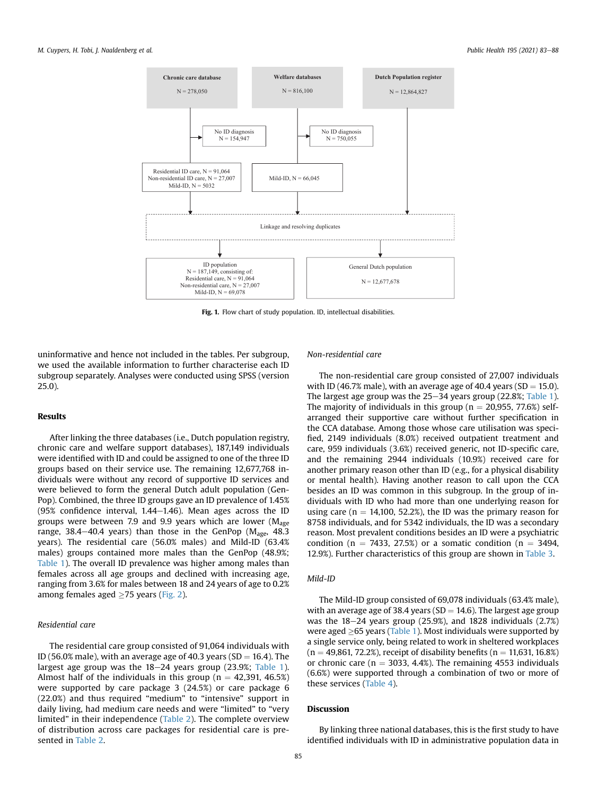<span id="page-2-0"></span>

Fig. 1. Flow chart of study population. ID, intellectual disabilities.

uninformative and hence not included in the tables. Per subgroup, we used the available information to further characterise each ID subgroup separately. Analyses were conducted using SPSS (version 25.0).

## Results

After linking the three databases (i.e., Dutch population registry, chronic care and welfare support databases), 187,149 individuals were identified with ID and could be assigned to one of the three ID groups based on their service use. The remaining 12,677,768 individuals were without any record of supportive ID services and were believed to form the general Dutch adult population (Gen-Pop). Combined, the three ID groups gave an ID prevalence of 1.45% (95% confidence interval,  $1.44-1.46$ ). Mean ages across the ID groups were between 7.9 and 9.9 years which are lower ( $M_{\text{age}}$ ) range, 38.4–40.4 years) than those in the GenPop ( $M<sub>age</sub>$ , 48.3 years). The residential care (56.0% males) and Mild-ID (63.4% males) groups contained more males than the GenPop (48.9%; [Table 1](#page-3-0)). The overall ID prevalence was higher among males than females across all age groups and declined with increasing age, ranging from 3.6% for males between 18 and 24 years of age to 0.2% among females aged  $\geq$ 75 years ([Fig. 2\)](#page-3-1).

#### Residential care

The residential care group consisted of 91,064 individuals with ID (56.0% male), with an average age of 40.3 years (SD  $=$  16.4). The largest age group was the  $18-24$  years group (23.9%; [Table 1\)](#page-3-0). Almost half of the individuals in this group ( $n = 42,391, 46.5\%$ ) were supported by care package 3 (24.5%) or care package 6 (22.0%) and thus required "medium" to "intensive" support in daily living, had medium care needs and were "limited" to "very limited" in their independence ([Table 2](#page-3-2)). The complete overview of distribution across care packages for residential care is presented in [Table 2](#page-3-2).

#### Non-residential care

The non-residential care group consisted of 27,007 individuals with ID (46.7% male), with an average age of 40.4 years (SD  $=$  15.0). The largest age group was the  $25-34$  years group (22.8%; [Table 1\)](#page-3-0). The majority of individuals in this group ( $n = 20,955, 77.6\%$ ) selfarranged their supportive care without further specification in the CCA database. Among those whose care utilisation was specified, 2149 individuals (8.0%) received outpatient treatment and care, 959 individuals (3.6%) received generic, not ID-specific care, and the remaining 2944 individuals (10.9%) received care for another primary reason other than ID (e.g., for a physical disability or mental health). Having another reason to call upon the CCA besides an ID was common in this subgroup. In the group of individuals with ID who had more than one underlying reason for using care ( $n = 14,100, 52.2\%$ ), the ID was the primary reason for 8758 individuals, and for 5342 individuals, the ID was a secondary reason. Most prevalent conditions besides an ID were a psychiatric condition (n = 7433, 27.5%) or a somatic condition (n = 3494, 12.9%). Further characteristics of this group are shown in [Table 3.](#page-4-0)

#### Mild-ID

The Mild-ID group consisted of 69,078 individuals (63.4% male), with an average age of 38.4 years ( $SD = 14.6$ ). The largest age group was the  $18-24$  years group (25.9%), and 1828 individuals (2.7%) were aged  $\geq$ 65 years ([Table 1](#page-3-0)). Most individuals were supported by a single service only, being related to work in sheltered workplaces  $(n = 49,861, 72.2%)$ , receipt of disability benefits  $(n = 11,631, 16.8%)$ or chronic care ( $n = 3033, 4.4%$ ). The remaining 4553 individuals (6.6%) were supported through a combination of two or more of these services ([Table 4\)](#page-4-1).

## Discussion

By linking three national databases, this is the first study to have identified individuals with ID in administrative population data in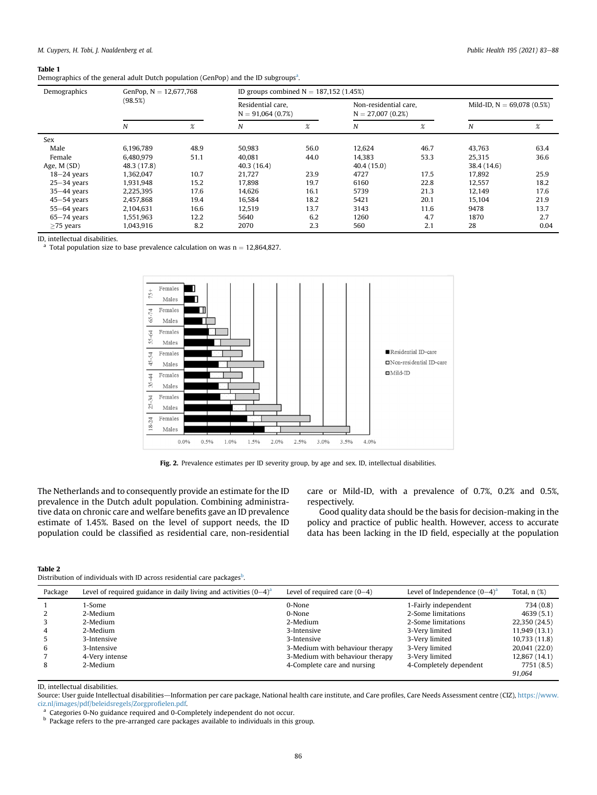## <span id="page-3-0"></span>Table 1

|  | Demographics of the general adult Dutch population (GenPop) and the ID subgroups <sup>a</sup> . |  |  |
|--|-------------------------------------------------------------------------------------------------|--|--|
|--|-------------------------------------------------------------------------------------------------|--|--|

| Demographics    | GenPop, $N = 12,677,768$<br>(98.5%) |        | ID groups combined $N = 187,152$ (1.45%) |        |                                             |        |                              |      |
|-----------------|-------------------------------------|--------|------------------------------------------|--------|---------------------------------------------|--------|------------------------------|------|
|                 |                                     |        | Residential care,<br>$N = 91,064(0.7%)$  |        | Non-residential care,<br>$N = 27,007(0.2%)$ |        | Mild-ID, $N = 69,078$ (0.5%) |      |
|                 | N                                   | $\chi$ | Ν                                        | $\chi$ | N                                           | $\chi$ | N                            | $\%$ |
| Sex             |                                     |        |                                          |        |                                             |        |                              |      |
| Male            | 6,196,789                           | 48.9   | 50,983                                   | 56.0   | 12,624                                      | 46.7   | 43,763                       | 63.4 |
| Female          | 6.480.979                           | 51.1   | 40.081                                   | 44.0   | 14.383                                      | 53.3   | 25,315                       | 36.6 |
| Age, M (SD)     | 48.3 (17.8)                         |        | 40.3(16.4)                               |        | 40.4(15.0)                                  |        | 38.4 (14.6)                  |      |
| $18 - 24$ years | 1,362,047                           | 10.7   | 21,727                                   | 23.9   | 4727                                        | 17.5   | 17,892                       | 25.9 |
| $25 - 34$ years | 1.931.948                           | 15.2   | 17,898                                   | 19.7   | 6160                                        | 22.8   | 12,557                       | 18.2 |
| $35 - 44$ years | 2,225,395                           | 17.6   | 14,626                                   | 16.1   | 5739                                        | 21.3   | 12,149                       | 17.6 |
| $45 - 54$ years | 2,457,868                           | 19.4   | 16,584                                   | 18.2   | 5421                                        | 20.1   | 15,104                       | 21.9 |
| $55 - 64$ years | 2.104.631                           | 16.6   | 12.519                                   | 13.7   | 3143                                        | 11.6   | 9478                         | 13.7 |
| $65 - 74$ years | 1.551.963                           | 12.2   | 5640                                     | 6.2    | 1260                                        | 4.7    | 1870                         | 2.7  |
| $>75$ years     | 1,043,916                           | 8.2    | 2070                                     | 2.3    | 560                                         | 2.1    | 28                           | 0.04 |

ID, intellectual disabilities.

<span id="page-3-3"></span><span id="page-3-1"></span>Total population size to base prevalence calculation on was  $n = 12,864,827$ .



Fig. 2. Prevalence estimates per ID severity group, by age and sex. ID, intellectual disabilities.

The Netherlands and to consequently provide an estimate for the ID prevalence in the Dutch adult population. Combining administrative data on chronic care and welfare benefits gave an ID prevalence estimate of 1.45%. Based on the level of support needs, the ID population could be classified as residential care, non-residential care or Mild-ID, with a prevalence of 0.7%, 0.2% and 0.5%, respectively.

Good quality data should be the basis for decision-making in the policy and practice of public health. However, access to accurate data has been lacking in the ID field, especially at the population

<span id="page-3-2"></span>

|--|

Distri[b](#page-3-4)ution of individuals with ID across residential care packages<sup>b</sup>.

| Package | Level of required guidance in daily living and activities $(0-4)^a$ | Level of required care $(0-4)$  | Level of Independence $(0-4)^a$ | Total, $n$ $(\%)$ |
|---------|---------------------------------------------------------------------|---------------------------------|---------------------------------|-------------------|
|         | 1-Some                                                              | 0-None                          | 1-Fairly independent            | 734 (0.8)         |
|         | 2-Medium                                                            | 0-None                          | 2-Some limitations              | 4639(5.1)         |
|         | 2-Medium                                                            | 2-Medium                        | 2-Some limitations              | 22,350 (24.5)     |
| 4       | 2-Medium                                                            | 3-Intensive                     | 3-Very limited                  | 11,949 (13.1)     |
|         | 3-Intensive                                                         | 3-Intensive                     | 3-Very limited                  | 10,733(11.8)      |
| 6       | 3-Intensive                                                         | 3-Medium with behaviour therapy | 3-Very limited                  | 20,041 (22.0)     |
|         | 4-Very intense                                                      | 3-Medium with behaviour therapy | 3-Very limited                  | 12,867 (14.1)     |
| 8       | 2-Medium                                                            | 4-Complete care and nursing     | 4-Completely dependent          | 7751 (8.5)        |
|         |                                                                     |                                 |                                 | 91.064            |

ID, intellectual disabilities.

Source: User guide Intellectual disabilities—Information per care package, National health care institute, and Care profiles, Care Needs Assessment centre (CIZ), [https://www.](https://www.ciz.nl/images/pdf/beleidsregels/Zorgprofielen.pdf) [ciz.nl/images/pdf/beleidsregels/Zorgpro](https://www.ciz.nl/images/pdf/beleidsregels/Zorgprofielen.pdf)fielen.pdf.

<span id="page-3-5"></span><sup>a</sup> Categories 0-No guidance required and 0-Completely independent do not occur.

<span id="page-3-4"></span>b Package refers to the pre-arranged care packages available to individuals in this group.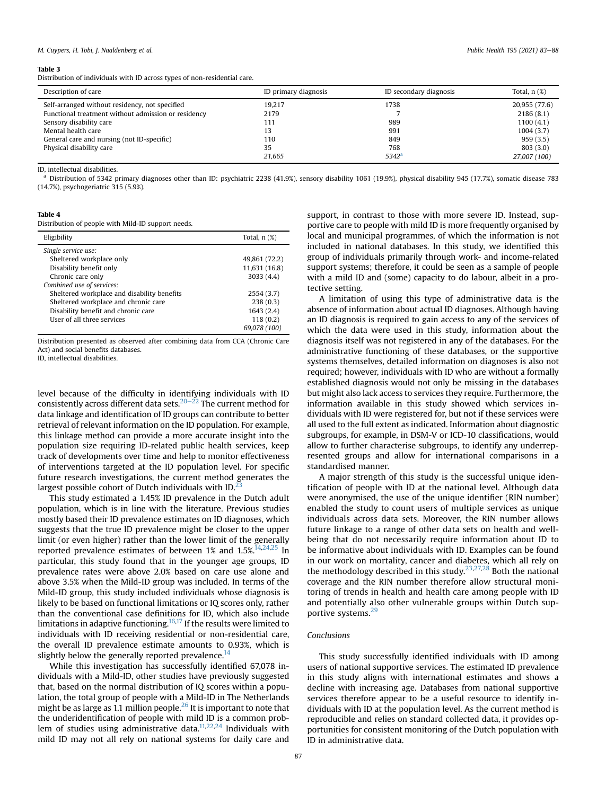#### <span id="page-4-0"></span>Table 3

Distribution of individuals with ID across types of non-residential care.

| Description of care                                 | ID primary diagnosis | ID secondary diagnosis | Total, $n$ $(\%)$ |
|-----------------------------------------------------|----------------------|------------------------|-------------------|
| Self-arranged without residency, not specified      | 19.217               | 1738                   | 20,955 (77.6)     |
| Functional treatment without admission or residency | 2179                 |                        | 2186(8.1)         |
| Sensory disability care                             | 111                  | 989                    | 1100(4.1)         |
| Mental health care                                  |                      | 991                    | 1004(3.7)         |
| General care and nursing (not ID-specific)          | 110                  | 849                    | 959(3.5)          |
| Physical disability care                            | 35                   | 768                    | 803(3.0)          |
|                                                     | 21.665               | $5342^{\rm a}$         | 27,007 (100)      |

ID, intellectual disabilities.

<span id="page-4-2"></span><sup>a</sup> Distribution of 5342 primary diagnoses other than ID: psychiatric 2238 (41.9%), sensory disability 1061 (19.9%), physical disability 945 (17.7%), somatic disease 783 (14.7%), psychogeriatric 315 (5.9%).

#### <span id="page-4-1"></span>Table 4

Distribution of people with Mild-ID support needs.

| Eligibility                                 | Total, $n$ $(\%)$ |
|---------------------------------------------|-------------------|
| Single service use:                         |                   |
| Sheltered workplace only                    | 49,861 (72.2)     |
| Disability benefit only                     | 11,631 (16.8)     |
| Chronic care only                           | 3033(4.4)         |
| Combined use of services:                   |                   |
| Sheltered workplace and disability benefits | 2554 (3.7)        |
| Sheltered workplace and chronic care        | 238(0.3)          |
| Disability benefit and chronic care         | 1643 (2.4)        |
| User of all three services                  | 118(0.2)          |
|                                             | 69,078 (100)      |

Distribution presented as observed after combining data from CCA (Chronic Care Act) and social benefits databases.

ID, intellectual disabilities.

level because of the difficulty in identifying individuals with ID consistently across different data sets.<sup>[20](#page-5-12)-[22](#page-5-12)</sup> The current method for data linkage and identification of ID groups can contribute to better retrieval of relevant information on the ID population. For example, this linkage method can provide a more accurate insight into the population size requiring ID-related public health services, keep track of developments over time and help to monitor effectiveness of interventions targeted at the ID population level. For specific future research investigations, the current method generates the largest possible cohort of Dutch individuals with ID.<sup>2</sup>

This study estimated a 1.45% ID prevalence in the Dutch adult population, which is in line with the literature. Previous studies mostly based their ID prevalence estimates on ID diagnoses, which suggests that the true ID prevalence might be closer to the upper limit (or even higher) rather than the lower limit of the generally reported prevalence estimates of between 1% and 1.5%.<sup>14,[24](#page-5-14)[,25](#page-5-15)</sup> In particular, this study found that in the younger age groups, ID prevalence rates were above 2.0% based on care use alone and above 3.5% when the Mild-ID group was included. In terms of the Mild-ID group, this study included individuals whose diagnosis is likely to be based on functional limitations or IQ scores only, rather than the conventional case definitions for ID, which also include limitations in adaptive functioning.<sup>16,[17](#page-5-9)</sup> If the results were limited to individuals with ID receiving residential or non-residential care, the overall ID prevalence estimate amounts to 0.93%, which is slightly below the generally reported prevalence.<sup>[14](#page-5-6)</sup>

While this investigation has successfully identified 67,078 individuals with a Mild-ID, other studies have previously suggested that, based on the normal distribution of IQ scores within a population, the total group of people with a Mild-ID in The Netherlands might be as large as 1.1 million people.<sup>[26](#page-5-16)</sup> It is important to note that the underidentification of people with mild ID is a common problem of studies using administrative data. $11,22,24$  $11,22,24$  $11,22,24$  $11,22,24$  Individuals with mild ID may not all rely on national systems for daily care and

support, in contrast to those with more severe ID. Instead, supportive care to people with mild ID is more frequently organised by local and municipal programmes, of which the information is not included in national databases. In this study, we identified this group of individuals primarily through work- and income-related support systems; therefore, it could be seen as a sample of people with a mild ID and (some) capacity to do labour, albeit in a protective setting.

A limitation of using this type of administrative data is the absence of information about actual ID diagnoses. Although having an ID diagnosis is required to gain access to any of the services of which the data were used in this study, information about the diagnosis itself was not registered in any of the databases. For the administrative functioning of these databases, or the supportive systems themselves, detailed information on diagnoses is also not required; however, individuals with ID who are without a formally established diagnosis would not only be missing in the databases but might also lack access to services they require. Furthermore, the information available in this study showed which services individuals with ID were registered for, but not if these services were all used to the full extent as indicated. Information about diagnostic subgroups, for example, in DSM-V or ICD-10 classifications, would allow to further characterise subgroups, to identify any underrepresented groups and allow for international comparisons in a standardised manner.

A major strength of this study is the successful unique identification of people with ID at the national level. Although data were anonymised, the use of the unique identifier (RIN number) enabled the study to count users of multiple services as unique individuals across data sets. Moreover, the RIN number allows future linkage to a range of other data sets on health and wellbeing that do not necessarily require information about ID to be informative about individuals with ID. Examples can be found in our work on mortality, cancer and diabetes, which all rely on the methodology described in this study.<sup>[23,](#page-5-13)[27](#page-5-19)[,28](#page-5-20)</sup> Both the national coverage and the RIN number therefore allow structural monitoring of trends in health and health care among people with ID and potentially also other vulnerable groups within Dutch sup-portive systems.<sup>[29](#page-5-21)</sup>

### Conclusions

This study successfully identified individuals with ID among users of national supportive services. The estimated ID prevalence in this study aligns with international estimates and shows a decline with increasing age. Databases from national supportive services therefore appear to be a useful resource to identify individuals with ID at the population level. As the current method is reproducible and relies on standard collected data, it provides opportunities for consistent monitoring of the Dutch population with ID in administrative data.